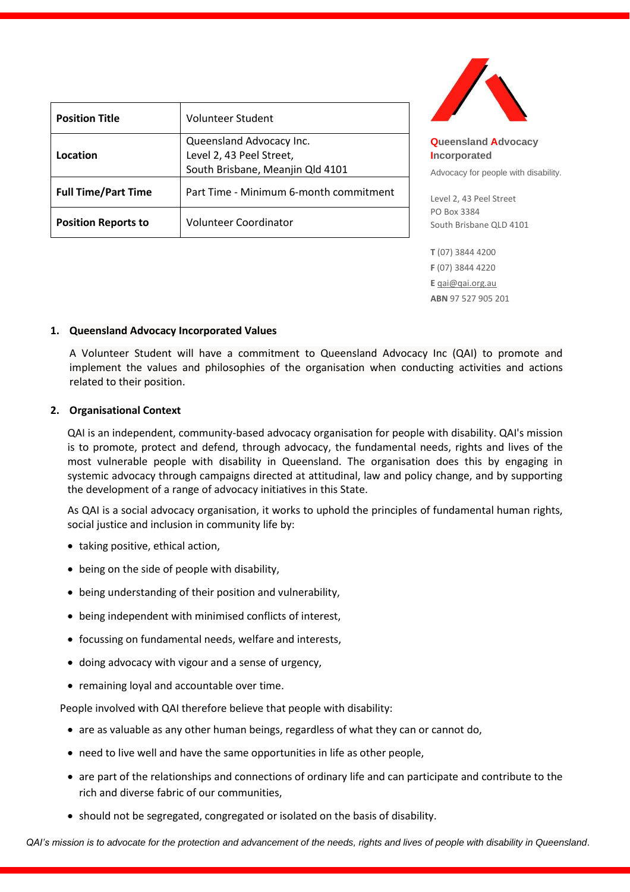| <b>Position Title</b>      | Volunteer Student                      |
|----------------------------|----------------------------------------|
|                            | Queensland Advocacy Inc.               |
| Location                   | Level 2, 43 Peel Street,               |
|                            | South Brisbane, Meanjin Qld 4101       |
| <b>Full Time/Part Time</b> | Part Time - Minimum 6-month commitment |
| <b>Position Reports to</b> | Volunteer Coordinator                  |



**Queensland Advocacy Incorporated** 

Advocacy for people with disability.

Level 2, 43 Peel Street PO Box 3384 South Brisbane QLD 4101

**T** (07) 3844 4200 **F** (07) 3844 4220 **E** [qai@qai.org.au](mailto:qai@qai.org.au) **ABN** 97 527 905 201

### **1. Queensland Advocacy Incorporated Values**

A Volunteer Student will have a commitment to Queensland Advocacy Inc (QAI) to promote and implement the values and philosophies of the organisation when conducting activities and actions related to their position.

### **2. Organisational Context**

QAI is an independent, community-based advocacy organisation for people with disability. QAI's mission is to promote, protect and defend, through advocacy, the fundamental needs, rights and lives of the most vulnerable people with disability in Queensland. The organisation does this by engaging in systemic advocacy through campaigns directed at attitudinal, law and policy change, and by supporting the development of a range of advocacy initiatives in this State.

As QAI is a social advocacy organisation, it works to uphold the principles of fundamental human rights, social justice and inclusion in community life by:

- taking positive, ethical action,
- being on the side of people with disability,
- being understanding of their position and vulnerability,
- being independent with minimised conflicts of interest,
- focussing on fundamental needs, welfare and interests,
- doing advocacy with vigour and a sense of urgency,
- remaining loyal and accountable over time.

People involved with QAI therefore believe that people with disability:

- are as valuable as any other human beings, regardless of what they can or cannot do,
- need to live well and have the same opportunities in life as other people,
- are part of the relationships and connections of ordinary life and can participate and contribute to the rich and diverse fabric of our communities,
- should not be segregated, congregated or isolated on the basis of disability.

*QAI's mission is to advocate for the protection and advancement of the needs, rights and lives of people with disability in Queensland*.